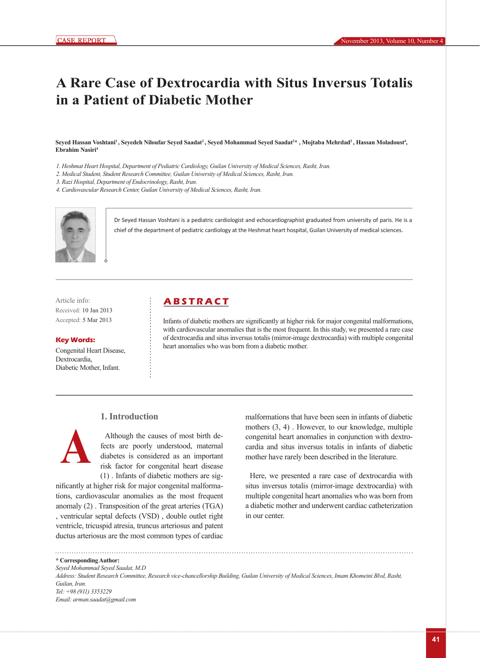# **A Rare Case of Dextrocardia with Situs Inversus Totalis in a Patient of Diabetic Mother**

Seyed Hassan Voshtani<sup>ı</sup> , Seyedeh Niloufar Seyed Saadat<sup>2</sup>, Seyed Mohammad Seyed Saadat<sup>2</sup>\* , Mojtaba Mehrdad<sup>3</sup> , Hassan Moladoust<sup>4</sup>, **Ebrahim Nasiri4**

- *1. Heshmat Heart Hospital, Department of Pediatric Cardiology, Guilan University of Medical Sciences, Rasht, Iran.*
- *2. Medical Student, Student Research Committee, Guilan University of Medical Sciences, Rasht, Iran.*
- *3. Razi Hospital, Department of Endocrinology, Rasht, Iran.*
- *4. Cardiovascular Research Center, Guilan University of Medical Sciences, Rasht, Iran.*



Dr Seyed Hassan Voshtani is a pediatric cardiologist and echocardiographist graduated from university of paris. He is a chief of the department of pediatric cardiology at the Heshmat heart hospital, Guilan University of medical sciences.

Received: 10 Jan 2013 Accepted: 5 Mar 2013

#### **Key Words:**

Congenital Heart Disease, Dextrocardia, Diabetic Mother, Infant.

## Article info: **A B S T R A C T**

Infants of diabetic mothers are significantly at higher risk for major congenital malformations, with cardiovascular anomalies that is the most frequent. In this study, we presented a rare case of dextrocardia and situs inversus totalis (mirror-image dextrocardia) with multiple congenital heart anomalies who was born from a diabetic mother.

### **1. Introduction**



Although the causes of most birth defects are poorly understood, maternal diabetes is considered as an important risk factor for congenital heart disease (1) . Infants of diabetic mothers are sig-

nificantly at higher risk for major congenital malformations, cardiovascular anomalies as the most frequent anomaly (2) . Transposition of the great arteries (TGA) , ventricular septal defects (VSD) , double outlet right ventricle, tricuspid atresia, truncus arteriosus and patent ductus arteriosus are the most common types of cardiac

malformations that have been seen in infants of diabetic mothers (3, 4) . However, to our knowledge, multiple congenital heart anomalies in conjunction with dextrocardia and situs inversus totalis in infants of diabetic mother have rarely been described in the literature.

Here, we presented a rare case of dextrocardia with situs inversus totalis (mirror-image dextrocardia) with multiple congenital heart anomalies who was born from a diabetic mother and underwent cardiac catheterization in our center.

**\* Corresponding Author:** *Seyed Mohammad Seyed Saadat, M.D Address: Student Research Committee, Research vice-chancellorship Building, Guilan University of Medical Sciences, Imam Khomeini Blvd, Rasht, Guilan, Iran. Tel: +98 (911) 3353229 Email: arman.saadat@gmail.com*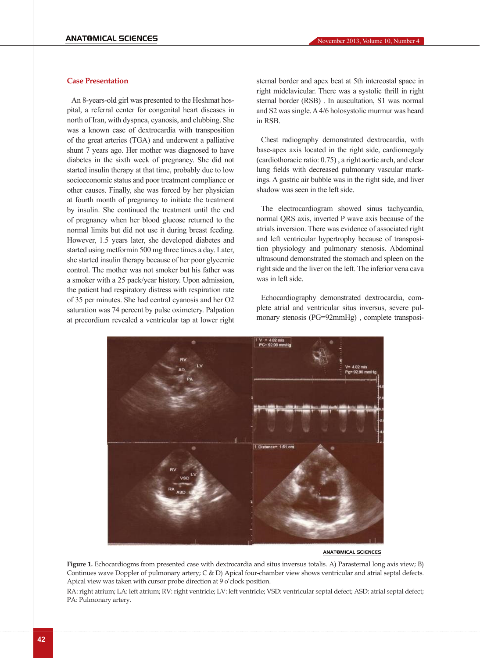#### **Case Presentation**

An 8-years-old girl was presented to the Heshmat hospital, a referral center for congenital heart diseases in north of Iran, with dyspnea, cyanosis, and clubbing. She was a known case of dextrocardia with transposition of the great arteries (TGA) and underwent a palliative shunt 7 years ago. Her mother was diagnosed to have diabetes in the sixth week of pregnancy. She did not started insulin therapy at that time, probably due to low socioeconomic status and poor treatment compliance or other causes. Finally, she was forced by her physician at fourth month of pregnancy to initiate the treatment by insulin. She continued the treatment until the end of pregnancy when her blood glucose returned to the normal limits but did not use it during breast feeding. However, 1.5 years later, she developed diabetes and started using metformin 500 mg three times a day. Later, she started insulin therapy because of her poor glycemic control. The mother was not smoker but his father was a smoker with a 25 pack/year history. Upon admission, the patient had respiratory distress with respiration rate of 35 per minutes. She had central cyanosis and her O2 saturation was 74 percent by pulse oximetery. Palpation at precordium revealed a ventricular tap at lower right sternal border and apex beat at 5th intercostal space in right midclavicular. There was a systolic thrill in right sternal border (RSB) . In auscultation, S1 was normal and S2 was single. A 4/6 holosystolic murmur was heard in RSB.

Chest radiography demonstrated dextrocardia, with base-apex axis located in the right side, cardiomegaly (cardiothoracic ratio: 0.75) , a right aortic arch, and clear lung fields with decreased pulmonary vascular markings. A gastric air bubble was in the right side, and liver shadow was seen in the left side.

The electrocardiogram showed sinus tachycardia, normal QRS axis, inverted P wave axis because of the atrials inversion. There was evidence of associated right and left ventricular hypertrophy because of transposition physiology and pulmonary stenosis. Abdominal ultrasound demonstrated the stomach and spleen on the right side and the liver on the left. The inferior vena cava was in left side.

Echocardiography demonstrated dextrocardia, complete atrial and ventricular situs inversus, severe pulmonary stenosis (PG=92mmHg) , complete transposi-



**ANATOMICAL SCIENCES** 

**Figure 1.** Echocardiogms from presented case with dextrocardia and situs inversus totalis. A) Parasternal long axis view; B) Continues wave Doppler of pulmonary artery; C & D) Apical four-chamber view shows ventricular and atrial septal defects. Apical view was taken with cursor probe direction at 9 o'clock position.

RA: right atrium; LA: left atrium; RV: right ventricle; LV: left ventricle; VSD: ventricular septal defect; ASD: atrial septal defect; PA: Pulmonary artery.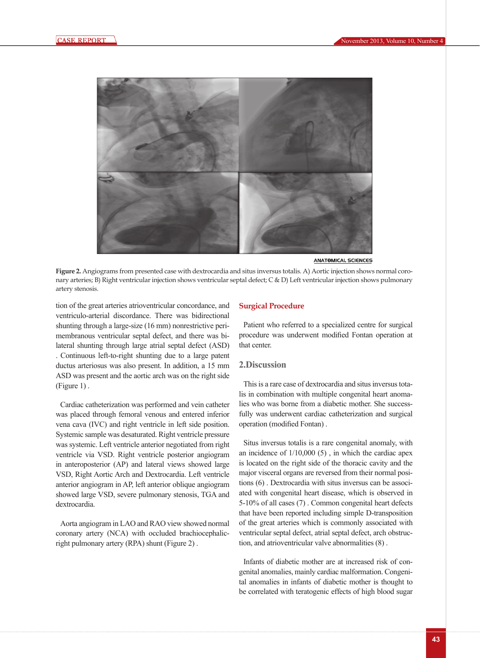

ANATOMICAL SCIENCES

**Figure 2.** Angiograms from presented case with dextrocardia and situs inversus totalis. A) Aortic injection shows normal coronary arteries; B) Right ventricular injection shows ventricular septal defect; C & D) Left ventricular injection shows pulmonary artery stenosis.

tion of the great arteries atrioventricular concordance, and ventriculo-arterial discordance. There was bidirectional shunting through a large-size (16 mm) nonrestrictive perimembranous ventricular septal defect, and there was bilateral shunting through large atrial septal defect (ASD) . Continuous left-to-right shunting due to a large patent ductus arteriosus was also present. In addition, a 15 mm ASD was present and the aortic arch was on the right side (Figure 1) .

Cardiac catheterization was performed and vein catheter was placed through femoral venous and entered inferior vena cava (IVC) and right ventricle in left side position. Systemic sample was desaturated. Right ventricle pressure was systemic. Left ventricle anterior negotiated from right ventricle via VSD. Right ventricle posterior angiogram in anteroposterior (AP) and lateral views showed large VSD, Right Aortic Arch and Dextrocardia. Left ventricle anterior angiogram in AP, left anterior oblique angiogram showed large VSD, severe pulmonary stenosis, TGA and dextrocardia.

Aorta angiogram in LAO and RAO view showed normal coronary artery (NCA) with occluded brachiocephalicright pulmonary artery (RPA) shunt (Figure 2) .

#### **Surgical Procedure**

Patient who referred to a specialized centre for surgical procedure was underwent modified Fontan operation at that center.

#### **2.Discussion**

This is a rare case of dextrocardia and situs inversus totalis in combination with multiple congenital heart anomalies who was borne from a diabetic mother. She successfully was underwent cardiac catheterization and surgical operation (modified Fontan) .

Situs inversus totalis is a rare congenital anomaly, with an incidence of  $1/10,000$  (5), in which the cardiac apex is located on the right side of the thoracic cavity and the major visceral organs are reversed from their normal positions (6) . Dextrocardia with situs inversus can be associated with congenital heart disease, which is observed in 5-10% of all cases (7) . Common congenital heart defects that have been reported including simple D-transposition of the great arteries which is commonly associated with ventricular septal defect, atrial septal defect, arch obstruction, and atrioventricular valve abnormalities (8) .

Infants of diabetic mother are at increased risk of congenital anomalies, mainly cardiac malformation. Congenital anomalies in infants of diabetic mother is thought to be correlated with teratogenic effects of high blood sugar